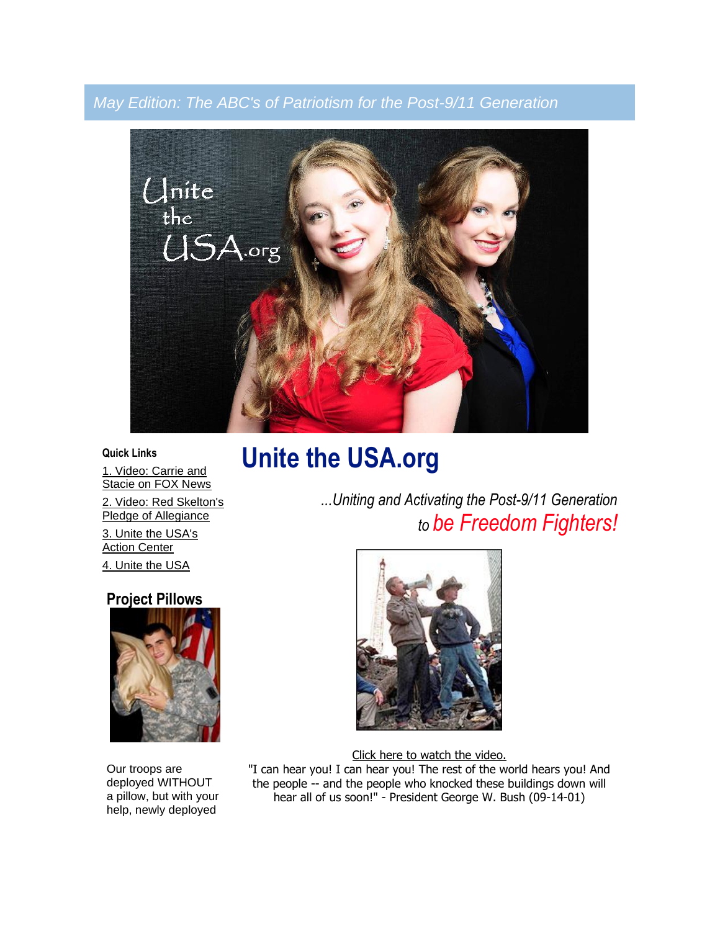## *May Edition: The ABC's of Patriotism for the Post-9/11 Generation*



**Quick Links**

[1. Video: Carrie and](http://video.foxnews.com/v/4683465/)  [Stacie on FOX News](http://video.foxnews.com/v/4683465/)

[Pledge of Allegiance](http://www.youtube.com/watch?v=CYHLVUVctQk) [3. Unite the USA's](http://unitetheusa.org/id46.html)  [Action Center](http://unitetheusa.org/id46.html) [4. Unite the USA](http://unitetheusa.org/index.html)

**Project Pillows**

Our troops are deployed WITHOUT a pillow, but with your help, newly deployed

# [2. Video: Red Skelton's](http://www.youtube.com/watch?v=CYHLVUVctQk)  **Unite the USA.org**

*...Uniting and Activating the Post-9/11 Generation to be Freedom Fighters!*



[Click here to watch the video.](http://www.youtube.com/watch?v=x7OCgMPX2mE&feature=share) "I can hear you! I can hear you! The rest of the world hears you! And the people -- and the people who knocked these buildings down will hear all of us soon!" - President George W. Bush (09-14-01)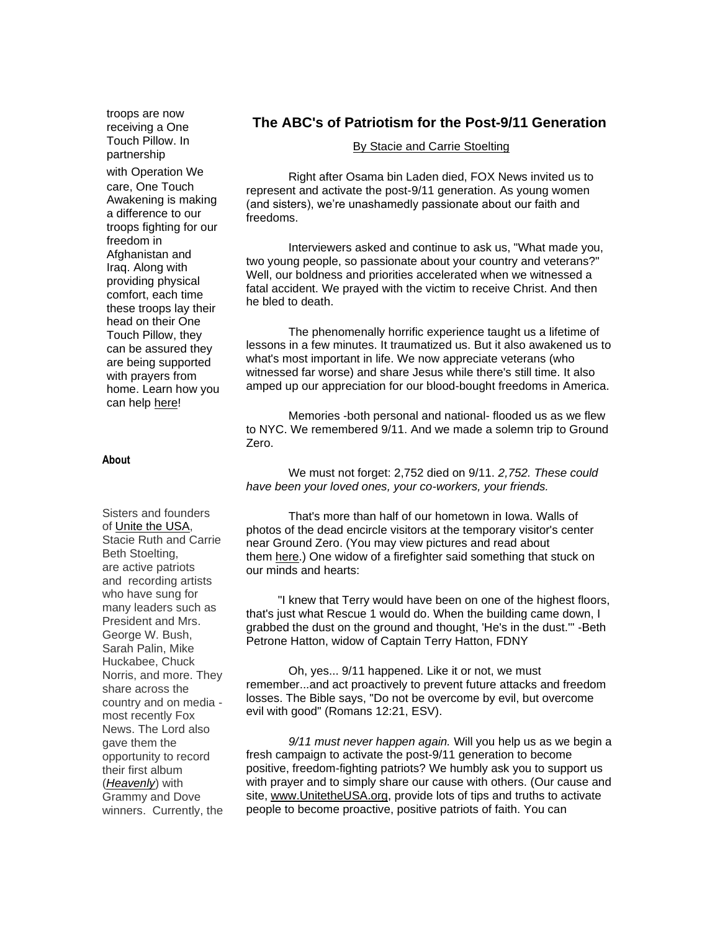troops are now receiving a One Touch Pillow. In partnership

with Operation We care, One Touch Awakening is making a difference to our troops fighting for our freedom in Afghanistan and Iraq. Along with providing physical comfort, each time these troops lay their head on their One Touch Pillow, they can be assured they are being supported with prayers from home. Learn how you can help [here!](http://www.onetouchawakening.org/project-pillows.html)

#### Sisters and founders of [Unite the USA,](http://unitetheusa.org/index.html) Stacie Ruth and Carrie Beth Stoelting, are active patriots and recording artists who have sung for many leaders such as President and Mrs. George W. Bush, Sarah Palin, Mike Huckabee, Chuck Norris, and more. They share across the country and on media most recently Fox News. The Lord also gave them the opportunity to record their first album (*[Heavenly](http://www.brightlightministries.com/shop.html)*) with Grammy and Dove winners. Currently, the

#### **The ABC's of Patriotism for the Post-9/11 Generation**

#### [By Stacie and Carrie Stoelting](http://unitetheusa.org/id3.html)

Right after Osama bin Laden died, FOX News invited us to represent and activate the post-9/11 generation. As young women (and sisters), we're unashamedly passionate about our faith and freedoms.

Interviewers asked and continue to ask us, "What made you, two young people, so passionate about your country and veterans?" Well, our boldness and priorities accelerated when we witnessed a fatal accident. We prayed with the victim to receive Christ. And then he bled to death.

The phenomenally horrific experience taught us a lifetime of lessons in a few minutes. It traumatized us. But it also awakened us to what's most important in life. We now appreciate veterans (who witnessed far worse) and share Jesus while there's still time. It also amped up our appreciation for our blood-bought freedoms in America.

Memories -both personal and national- flooded us as we flew to NYC. We remembered 9/11. And we made a solemn trip to Ground Zero.

We must not forget: 2,752 died on 9/11. *2,752. These could have been your loved ones, your co-workers, your friends.*

That's more than half of our hometown in Iowa. Walls of photos of the dead encircle visitors at the temporary visitor's center near Ground Zero. (You may view pictures and read about them [here.](http://www.tributewtc.org/exhibits/gallery4.php)) One widow of a firefighter said something that stuck on our minds and hearts:

"I knew that Terry would have been on one of the highest floors, that's just what Rescue 1 would do. When the building came down, I grabbed the dust on the ground and thought, 'He's in the dust.'" -Beth Petrone Hatton, widow of Captain Terry Hatton, FDNY

Oh, yes... 9/11 happened. Like it or not, we must remember...and act proactively to prevent future attacks and freedom losses. The Bible says, "Do not be overcome by evil, but overcome evil with good" (Romans 12:21, ESV).

*9/11 must never happen again.* Will you help us as we begin a fresh campaign to activate the post-9/11 generation to become positive, freedom-fighting patriots? We humbly ask you to support us with prayer and to simply share our cause with others. (Our cause and site, [www.UnitetheUSA.org,](http://unitetheusa.org/index.html) provide lots of tips and truths to activate people to become proactive, positive patriots of faith. You can

#### **About**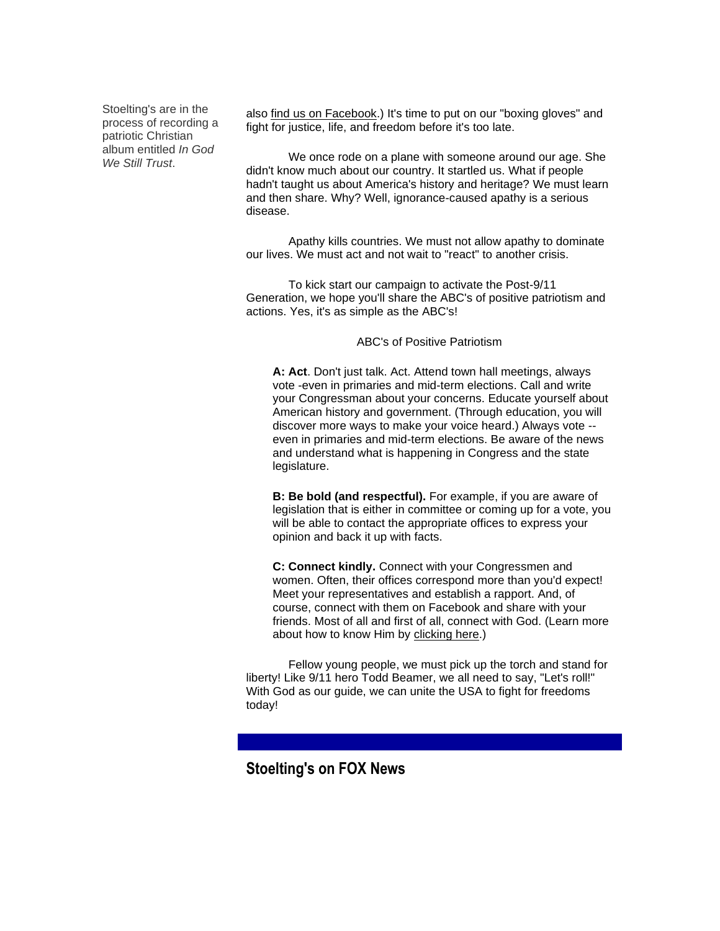Stoelting's are in the process of recording a patriotic Christian album entitled *In God We Still Trust*.

also [find us on Facebook.](https://www.facebook.com/?ref=home#!/pages/Unite-the-USA/200053406703556)) It's time to put on our "boxing gloves" and fight for justice, life, and freedom before it's too late.

We once rode on a plane with someone around our age. She didn't know much about our country. It startled us. What if people hadn't taught us about America's history and heritage? We must learn and then share. Why? Well, ignorance-caused apathy is a serious disease.

Apathy kills countries. We must not allow apathy to dominate our lives. We must act and not wait to "react" to another crisis.

To kick start our campaign to activate the Post-9/11 Generation, we hope you'll share the ABC's of positive patriotism and actions. Yes, it's as simple as the ABC's!

ABC's of Positive Patriotism

**A: Act**. Don't just talk. Act. Attend town hall meetings, always vote -even in primaries and mid-term elections. Call and write your Congressman about your concerns. Educate yourself about American history and government. (Through education, you will discover more ways to make your voice heard.) Always vote - even in primaries and mid-term elections. Be aware of the news and understand what is happening in Congress and the state legislature.

**B: Be bold (and respectful).** For example, if you are aware of legislation that is either in committee or coming up for a vote, you will be able to contact the appropriate offices to express your opinion and back it up with facts.

**C: Connect kindly.** Connect with your Congressmen and women. Often, their offices correspond more than you'd expect! Meet your representatives and establish a rapport. And, of course, connect with them on Facebook and share with your friends. Most of all and first of all, connect with God. (Learn more about how to know Him by [clicking here.](http://prayingpals.org/knowgod.html))

Fellow young people, we must pick up the torch and stand for liberty! Like 9/11 hero Todd Beamer, we all need to say, "Let's roll!" With God as our guide, we can unite the USA to fight for freedoms today!

### **Stoelting's on FOX News**